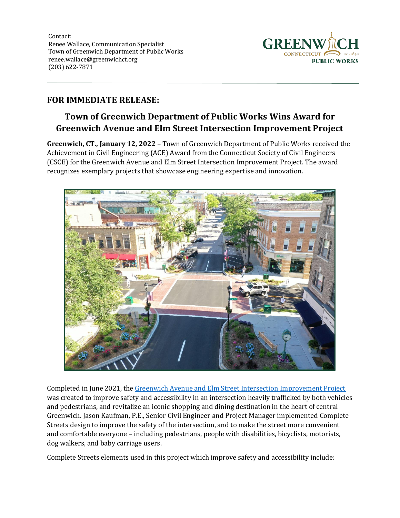Contact: Renee Wallace, Communication Specialist Town of Greenwich Department of Public Works renee.wallace@greenwichct.org (203) 622-7871



## **FOR IMMEDIATE RELEASE:**

## **Town of Greenwich Department of Public Works Wins Award for Greenwich Avenue and Elm Street Intersection Improvement Project**

**Greenwich, CT., January 12, 2022** – Town of Greenwich Department of Public Works received the Achievement in Civil Engineering (ACE) Award from the Connecticut Society of Civil Engineers (CSCE) for the Greenwich Avenue and Elm Street Intersection Improvement Project. The award recognizes exemplary projects that showcase engineering expertise and innovation.



Completed in June 2021, the [Greenwich Avenue and Elm Street Intersection Improvement Project](https://www.greenwichct.gov/1822/Greenwich-Ave-Elm-St-Intersection-Improv) was created to improve safety and accessibility in an intersection heavily trafficked by both vehicles and pedestrians, and revitalize an iconic shopping and dining destination in the heart of central Greenwich. Jason Kaufman, P.E., Senior Civil Engineer and Project Manager implemented Complete Streets design to improve the safety of the intersection, and to make the street more convenient and comfortable everyone – including pedestrians, people with disabilities, bicyclists, motorists, dog walkers, and baby carriage users.

Complete Streets elements used in this project which improve safety and accessibility include: